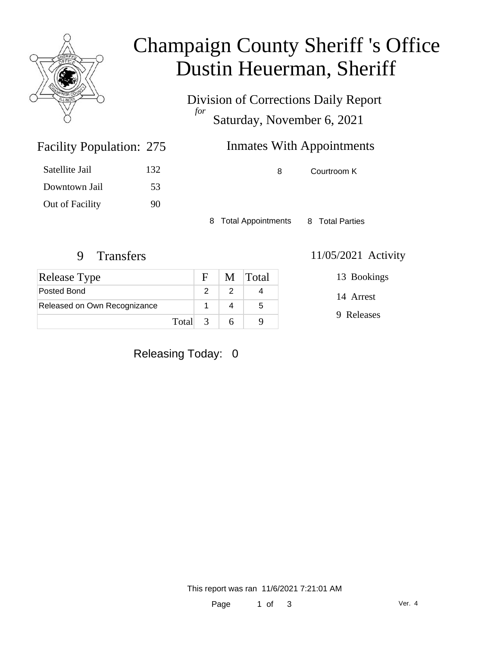

## Champaign County Sheriff 's Office Dustin Heuerman, Sheriff

Division of Corrections Daily Report *for* Saturday, November 6, 2021

### **Inmates With Appointments**

Satellite Jail 132 Downtown Jail 53 Out of Facility 90

Facility Population: 275

8 Courtroom K

8 Total Appointments 8 Total Parties

| <b>Release Type</b>          |         | $F_{\perp}$ | M Total |
|------------------------------|---------|-------------|---------|
| Posted Bond                  |         |             |         |
| Released on Own Recognizance |         |             | 5       |
|                              | Total 3 |             |         |

9 Transfers 11/05/2021 Activity

14 Arrest

13 Bookings

9 Releases

Releasing Today: 0

This report was ran 11/6/2021 7:21:01 AM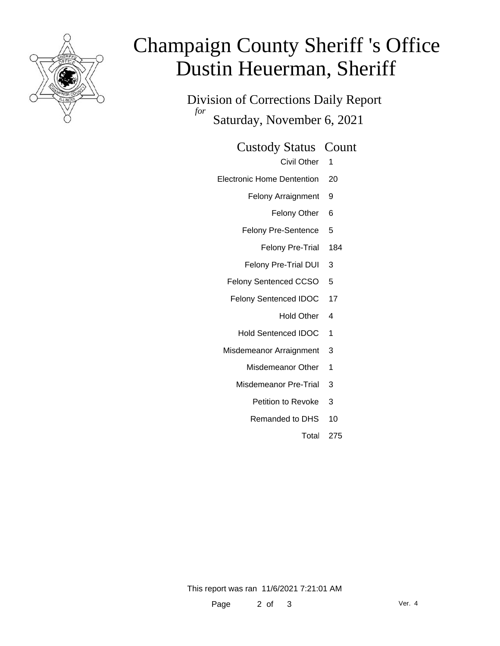

# Champaign County Sheriff 's Office Dustin Heuerman, Sheriff

Division of Corrections Daily Report *for* Saturday, November 6, 2021

Custody Status Count

Civil Other 1

- Electronic Home Dentention 20
	- Felony Arraignment 9
		- Felony Other 6
	- Felony Pre-Sentence 5
		- Felony Pre-Trial 184
	- Felony Pre-Trial DUI 3
	- Felony Sentenced CCSO 5
	- Felony Sentenced IDOC 17
		- Hold Other 4
		- Hold Sentenced IDOC 1
	- Misdemeanor Arraignment 3
		- Misdemeanor Other 1
		- Misdemeanor Pre-Trial 3
			- Petition to Revoke 3
			- Remanded to DHS 10
				- Total 275